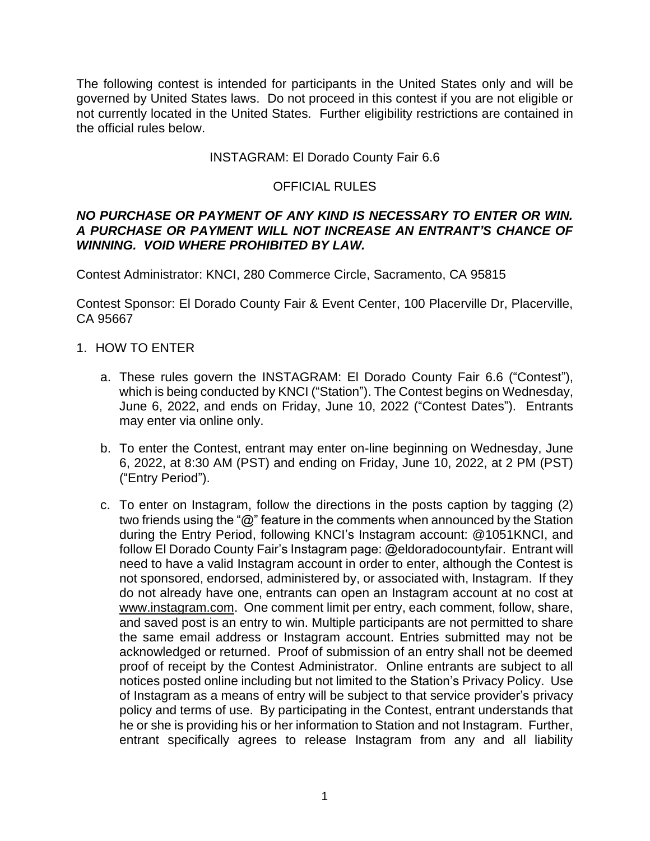The following contest is intended for participants in the United States only and will be governed by United States laws. Do not proceed in this contest if you are not eligible or not currently located in the United States. Further eligibility restrictions are contained in the official rules below.

### INSTAGRAM: El Dorado County Fair 6.6

# OFFICIAL RULES

#### *NO PURCHASE OR PAYMENT OF ANY KIND IS NECESSARY TO ENTER OR WIN. A PURCHASE OR PAYMENT WILL NOT INCREASE AN ENTRANT'S CHANCE OF WINNING. VOID WHERE PROHIBITED BY LAW.*

Contest Administrator: KNCI, 280 Commerce Circle, Sacramento, CA 95815

Contest Sponsor: El Dorado County Fair & Event Center, 100 Placerville Dr, Placerville, CA 95667

- 1. HOW TO ENTER
	- a. These rules govern the INSTAGRAM: El Dorado County Fair 6.6 ("Contest"), which is being conducted by KNCI ("Station"). The Contest begins on Wednesday, June 6, 2022, and ends on Friday, June 10, 2022 ("Contest Dates"). Entrants may enter via online only.
	- b. To enter the Contest, entrant may enter on-line beginning on Wednesday, June 6, 2022, at 8:30 AM (PST) and ending on Friday, June 10, 2022, at 2 PM (PST) ("Entry Period").
	- c. To enter on Instagram, follow the directions in the posts caption by tagging (2) two friends using the "@" feature in the comments when announced by the Station during the Entry Period, following KNCI's Instagram account: @1051KNCI, and follow El Dorado County Fair's Instagram page: @eldoradocountyfair. Entrant will need to have a valid Instagram account in order to enter, although the Contest is not sponsored, endorsed, administered by, or associated with, Instagram. If they do not already have one, entrants can open an Instagram account at no cost at www.instagram.com. One comment limit per entry, each comment, follow, share, and saved post is an entry to win. Multiple participants are not permitted to share the same email address or Instagram account. Entries submitted may not be acknowledged or returned. Proof of submission of an entry shall not be deemed proof of receipt by the Contest Administrator. Online entrants are subject to all notices posted online including but not limited to the Station's Privacy Policy. Use of Instagram as a means of entry will be subject to that service provider's privacy policy and terms of use. By participating in the Contest, entrant understands that he or she is providing his or her information to Station and not Instagram. Further, entrant specifically agrees to release Instagram from any and all liability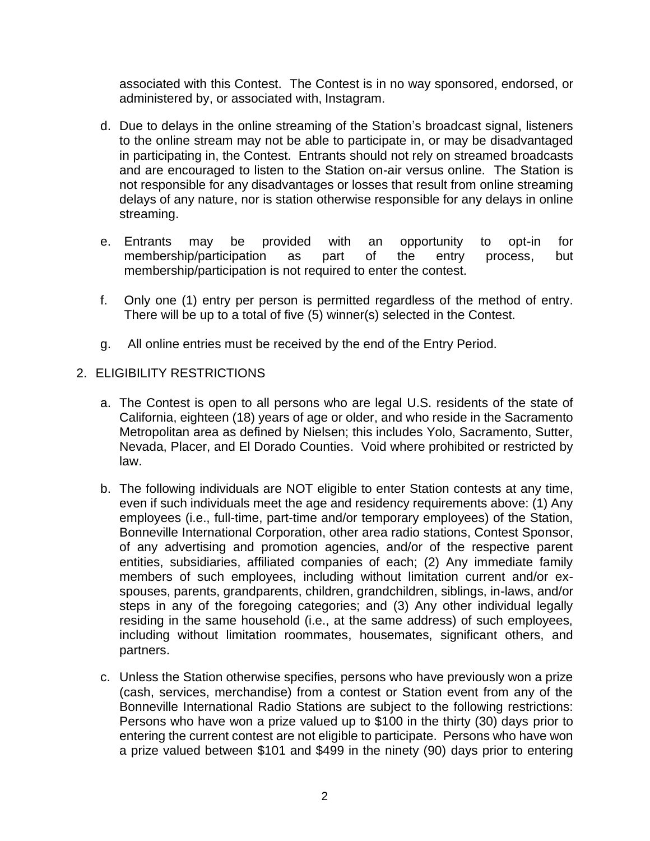associated with this Contest. The Contest is in no way sponsored, endorsed, or administered by, or associated with, Instagram.

- d. Due to delays in the online streaming of the Station's broadcast signal, listeners to the online stream may not be able to participate in, or may be disadvantaged in participating in, the Contest. Entrants should not rely on streamed broadcasts and are encouraged to listen to the Station on-air versus online. The Station is not responsible for any disadvantages or losses that result from online streaming delays of any nature, nor is station otherwise responsible for any delays in online streaming.
- e. Entrants may be provided with an opportunity to opt-in for membership/participation as part of the entry process, but membership/participation is not required to enter the contest.
- f. Only one (1) entry per person is permitted regardless of the method of entry. There will be up to a total of five (5) winner(s) selected in the Contest.
- g. All online entries must be received by the end of the Entry Period.

# 2. ELIGIBILITY RESTRICTIONS

- a. The Contest is open to all persons who are legal U.S. residents of the state of California, eighteen (18) years of age or older, and who reside in the Sacramento Metropolitan area as defined by Nielsen; this includes Yolo, Sacramento, Sutter, Nevada, Placer, and El Dorado Counties. Void where prohibited or restricted by law.
- b. The following individuals are NOT eligible to enter Station contests at any time, even if such individuals meet the age and residency requirements above: (1) Any employees (i.e., full-time, part-time and/or temporary employees) of the Station, Bonneville International Corporation, other area radio stations, Contest Sponsor, of any advertising and promotion agencies, and/or of the respective parent entities, subsidiaries, affiliated companies of each; (2) Any immediate family members of such employees, including without limitation current and/or exspouses, parents, grandparents, children, grandchildren, siblings, in-laws, and/or steps in any of the foregoing categories; and (3) Any other individual legally residing in the same household (i.e., at the same address) of such employees, including without limitation roommates, housemates, significant others, and partners.
- c. Unless the Station otherwise specifies, persons who have previously won a prize (cash, services, merchandise) from a contest or Station event from any of the Bonneville International Radio Stations are subject to the following restrictions: Persons who have won a prize valued up to \$100 in the thirty (30) days prior to entering the current contest are not eligible to participate. Persons who have won a prize valued between \$101 and \$499 in the ninety (90) days prior to entering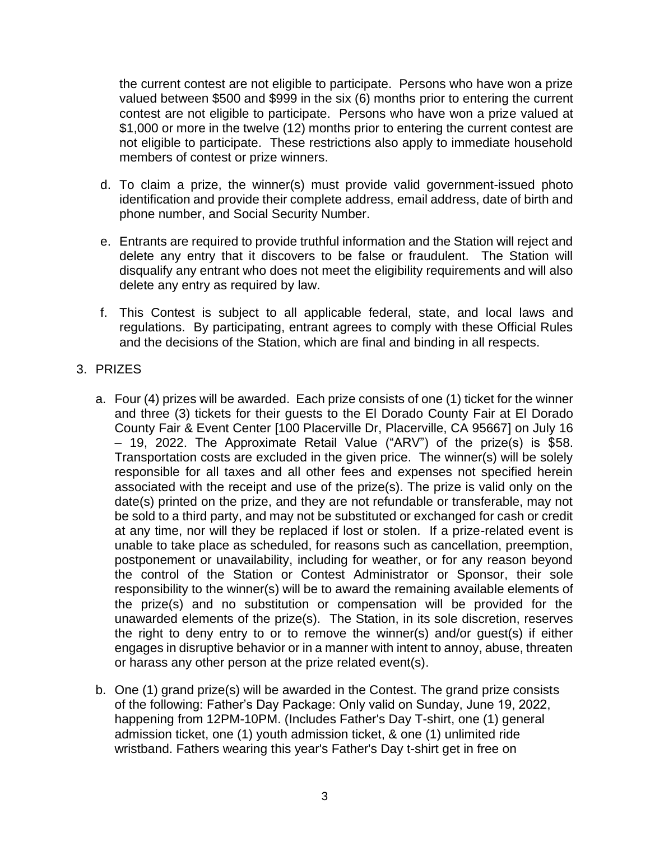the current contest are not eligible to participate. Persons who have won a prize valued between \$500 and \$999 in the six (6) months prior to entering the current contest are not eligible to participate. Persons who have won a prize valued at \$1,000 or more in the twelve (12) months prior to entering the current contest are not eligible to participate. These restrictions also apply to immediate household members of contest or prize winners.

- d. To claim a prize, the winner(s) must provide valid government-issued photo identification and provide their complete address, email address, date of birth and phone number, and Social Security Number.
- e. Entrants are required to provide truthful information and the Station will reject and delete any entry that it discovers to be false or fraudulent. The Station will disqualify any entrant who does not meet the eligibility requirements and will also delete any entry as required by law.
- f. This Contest is subject to all applicable federal, state, and local laws and regulations. By participating, entrant agrees to comply with these Official Rules and the decisions of the Station, which are final and binding in all respects.

# 3. PRIZES

- a. Four (4) prizes will be awarded. Each prize consists of one (1) ticket for the winner and three (3) tickets for their guests to the El Dorado County Fair at El Dorado County Fair & Event Center [100 Placerville Dr, Placerville, CA 95667] on July 16 – 19, 2022. The Approximate Retail Value ("ARV") of the prize(s) is \$58. Transportation costs are excluded in the given price. The winner(s) will be solely responsible for all taxes and all other fees and expenses not specified herein associated with the receipt and use of the prize(s). The prize is valid only on the date(s) printed on the prize, and they are not refundable or transferable, may not be sold to a third party, and may not be substituted or exchanged for cash or credit at any time, nor will they be replaced if lost or stolen. If a prize-related event is unable to take place as scheduled, for reasons such as cancellation, preemption, postponement or unavailability, including for weather, or for any reason beyond the control of the Station or Contest Administrator or Sponsor, their sole responsibility to the winner(s) will be to award the remaining available elements of the prize(s) and no substitution or compensation will be provided for the unawarded elements of the prize(s). The Station, in its sole discretion, reserves the right to deny entry to or to remove the winner(s) and/or guest(s) if either engages in disruptive behavior or in a manner with intent to annoy, abuse, threaten or harass any other person at the prize related event(s).
- b. One (1) grand prize(s) will be awarded in the Contest. The grand prize consists of the following: Father's Day Package: Only valid on Sunday, June 19, 2022, happening from 12PM-10PM. (Includes Father's Day T-shirt, one (1) general admission ticket, one (1) youth admission ticket, & one (1) unlimited ride wristband. Fathers wearing this year's Father's Day t-shirt get in free on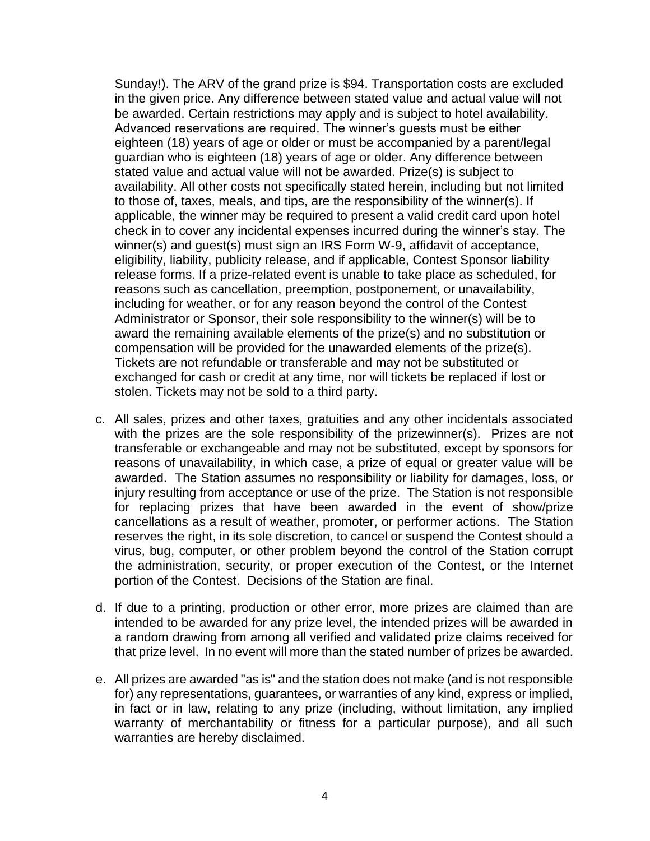Sunday!). The ARV of the grand prize is \$94. Transportation costs are excluded in the given price. Any difference between stated value and actual value will not be awarded. Certain restrictions may apply and is subject to hotel availability. Advanced reservations are required. The winner's guests must be either eighteen (18) years of age or older or must be accompanied by a parent/legal guardian who is eighteen (18) years of age or older. Any difference between stated value and actual value will not be awarded. Prize(s) is subject to availability. All other costs not specifically stated herein, including but not limited to those of, taxes, meals, and tips, are the responsibility of the winner(s). If applicable, the winner may be required to present a valid credit card upon hotel check in to cover any incidental expenses incurred during the winner's stay. The winner(s) and guest(s) must sign an IRS Form W-9, affidavit of acceptance, eligibility, liability, publicity release, and if applicable, Contest Sponsor liability release forms. If a prize-related event is unable to take place as scheduled, for reasons such as cancellation, preemption, postponement, or unavailability, including for weather, or for any reason beyond the control of the Contest Administrator or Sponsor, their sole responsibility to the winner(s) will be to award the remaining available elements of the prize(s) and no substitution or compensation will be provided for the unawarded elements of the prize(s). Tickets are not refundable or transferable and may not be substituted or exchanged for cash or credit at any time, nor will tickets be replaced if lost or stolen. Tickets may not be sold to a third party.

- c. All sales, prizes and other taxes, gratuities and any other incidentals associated with the prizes are the sole responsibility of the prizewinner(s). Prizes are not transferable or exchangeable and may not be substituted, except by sponsors for reasons of unavailability, in which case, a prize of equal or greater value will be awarded. The Station assumes no responsibility or liability for damages, loss, or injury resulting from acceptance or use of the prize. The Station is not responsible for replacing prizes that have been awarded in the event of show/prize cancellations as a result of weather, promoter, or performer actions. The Station reserves the right, in its sole discretion, to cancel or suspend the Contest should a virus, bug, computer, or other problem beyond the control of the Station corrupt the administration, security, or proper execution of the Contest, or the Internet portion of the Contest. Decisions of the Station are final.
- d. If due to a printing, production or other error, more prizes are claimed than are intended to be awarded for any prize level, the intended prizes will be awarded in a random drawing from among all verified and validated prize claims received for that prize level. In no event will more than the stated number of prizes be awarded.
- e. All prizes are awarded "as is" and the station does not make (and is not responsible for) any representations, guarantees, or warranties of any kind, express or implied, in fact or in law, relating to any prize (including, without limitation, any implied warranty of merchantability or fitness for a particular purpose), and all such warranties are hereby disclaimed.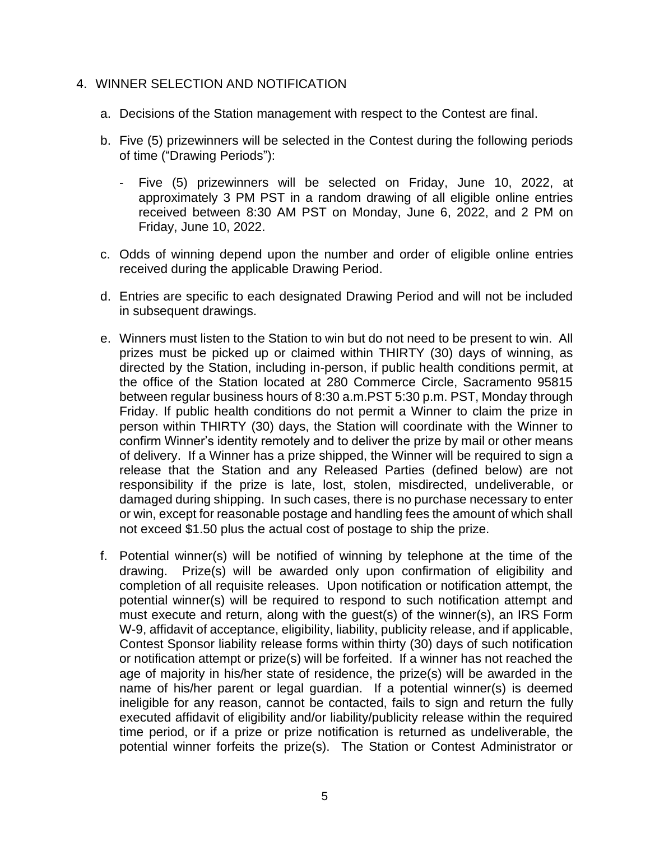#### 4. WINNER SELECTION AND NOTIFICATION

- a. Decisions of the Station management with respect to the Contest are final.
- b. Five (5) prizewinners will be selected in the Contest during the following periods of time ("Drawing Periods"):
	- Five (5) prizewinners will be selected on Friday, June 10, 2022, at approximately 3 PM PST in a random drawing of all eligible online entries received between 8:30 AM PST on Monday, June 6, 2022, and 2 PM on Friday, June 10, 2022.
- c. Odds of winning depend upon the number and order of eligible online entries received during the applicable Drawing Period.
- d. Entries are specific to each designated Drawing Period and will not be included in subsequent drawings.
- e. Winners must listen to the Station to win but do not need to be present to win. All prizes must be picked up or claimed within THIRTY (30) days of winning, as directed by the Station, including in-person, if public health conditions permit, at the office of the Station located at 280 Commerce Circle, Sacramento 95815 between regular business hours of 8:30 a.m.PST 5:30 p.m. PST, Monday through Friday. If public health conditions do not permit a Winner to claim the prize in person within THIRTY (30) days, the Station will coordinate with the Winner to confirm Winner's identity remotely and to deliver the prize by mail or other means of delivery. If a Winner has a prize shipped, the Winner will be required to sign a release that the Station and any Released Parties (defined below) are not responsibility if the prize is late, lost, stolen, misdirected, undeliverable, or damaged during shipping. In such cases, there is no purchase necessary to enter or win, except for reasonable postage and handling fees the amount of which shall not exceed \$1.50 plus the actual cost of postage to ship the prize.
- f. Potential winner(s) will be notified of winning by telephone at the time of the drawing. Prize(s) will be awarded only upon confirmation of eligibility and completion of all requisite releases. Upon notification or notification attempt, the potential winner(s) will be required to respond to such notification attempt and must execute and return, along with the guest(s) of the winner(s), an IRS Form W-9, affidavit of acceptance, eligibility, liability, publicity release, and if applicable, Contest Sponsor liability release forms within thirty (30) days of such notification or notification attempt or prize(s) will be forfeited. If a winner has not reached the age of majority in his/her state of residence, the prize(s) will be awarded in the name of his/her parent or legal guardian. If a potential winner(s) is deemed ineligible for any reason, cannot be contacted, fails to sign and return the fully executed affidavit of eligibility and/or liability/publicity release within the required time period, or if a prize or prize notification is returned as undeliverable, the potential winner forfeits the prize(s). The Station or Contest Administrator or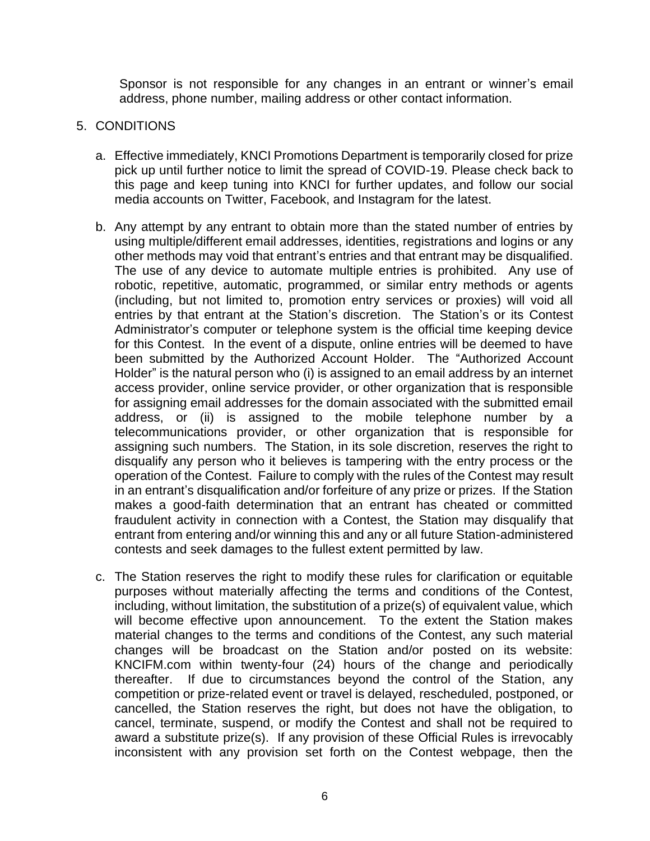Sponsor is not responsible for any changes in an entrant or winner's email address, phone number, mailing address or other contact information.

### 5. CONDITIONS

- a. Effective immediately, KNCI Promotions Department is temporarily closed for prize pick up until further notice to limit the spread of COVID-19. Please check back to this page and keep tuning into KNCI for further updates, and follow our social media accounts on Twitter, Facebook, and Instagram for the latest.
- b. Any attempt by any entrant to obtain more than the stated number of entries by using multiple/different email addresses, identities, registrations and logins or any other methods may void that entrant's entries and that entrant may be disqualified. The use of any device to automate multiple entries is prohibited. Any use of robotic, repetitive, automatic, programmed, or similar entry methods or agents (including, but not limited to, promotion entry services or proxies) will void all entries by that entrant at the Station's discretion. The Station's or its Contest Administrator's computer or telephone system is the official time keeping device for this Contest. In the event of a dispute, online entries will be deemed to have been submitted by the Authorized Account Holder. The "Authorized Account Holder" is the natural person who (i) is assigned to an email address by an internet access provider, online service provider, or other organization that is responsible for assigning email addresses for the domain associated with the submitted email address, or (ii) is assigned to the mobile telephone number by a telecommunications provider, or other organization that is responsible for assigning such numbers. The Station, in its sole discretion, reserves the right to disqualify any person who it believes is tampering with the entry process or the operation of the Contest. Failure to comply with the rules of the Contest may result in an entrant's disqualification and/or forfeiture of any prize or prizes. If the Station makes a good-faith determination that an entrant has cheated or committed fraudulent activity in connection with a Contest, the Station may disqualify that entrant from entering and/or winning this and any or all future Station-administered contests and seek damages to the fullest extent permitted by law.
- c. The Station reserves the right to modify these rules for clarification or equitable purposes without materially affecting the terms and conditions of the Contest, including, without limitation, the substitution of a prize(s) of equivalent value, which will become effective upon announcement. To the extent the Station makes material changes to the terms and conditions of the Contest, any such material changes will be broadcast on the Station and/or posted on its website: KNCIFM.com within twenty-four (24) hours of the change and periodically thereafter. If due to circumstances beyond the control of the Station, any competition or prize-related event or travel is delayed, rescheduled, postponed, or cancelled, the Station reserves the right, but does not have the obligation, to cancel, terminate, suspend, or modify the Contest and shall not be required to award a substitute prize(s). If any provision of these Official Rules is irrevocably inconsistent with any provision set forth on the Contest webpage, then the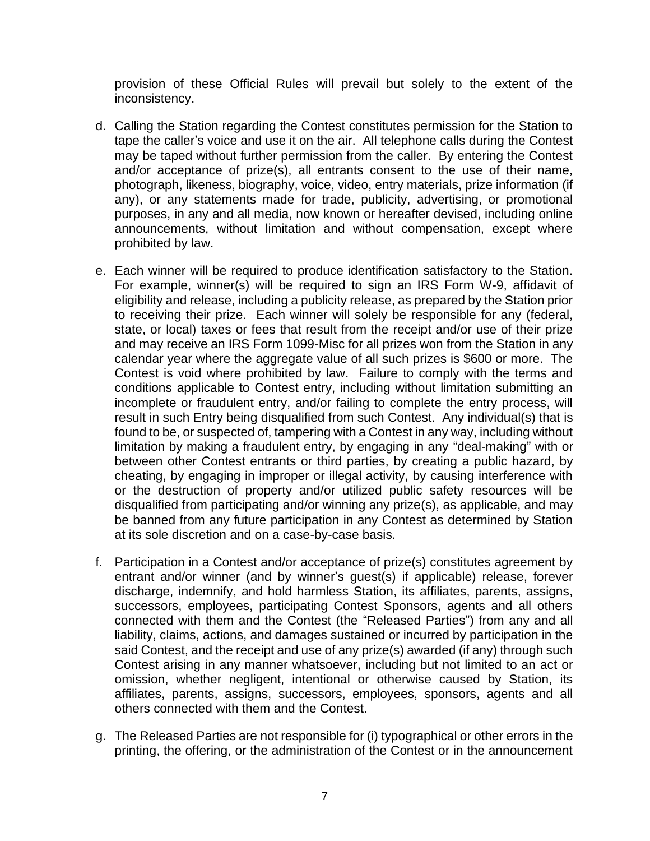provision of these Official Rules will prevail but solely to the extent of the inconsistency.

- d. Calling the Station regarding the Contest constitutes permission for the Station to tape the caller's voice and use it on the air. All telephone calls during the Contest may be taped without further permission from the caller. By entering the Contest and/or acceptance of prize(s), all entrants consent to the use of their name, photograph, likeness, biography, voice, video, entry materials, prize information (if any), or any statements made for trade, publicity, advertising, or promotional purposes, in any and all media, now known or hereafter devised, including online announcements, without limitation and without compensation, except where prohibited by law.
- e. Each winner will be required to produce identification satisfactory to the Station. For example, winner(s) will be required to sign an IRS Form W-9, affidavit of eligibility and release, including a publicity release, as prepared by the Station prior to receiving their prize. Each winner will solely be responsible for any (federal, state, or local) taxes or fees that result from the receipt and/or use of their prize and may receive an IRS Form 1099-Misc for all prizes won from the Station in any calendar year where the aggregate value of all such prizes is \$600 or more. The Contest is void where prohibited by law. Failure to comply with the terms and conditions applicable to Contest entry, including without limitation submitting an incomplete or fraudulent entry, and/or failing to complete the entry process, will result in such Entry being disqualified from such Contest. Any individual(s) that is found to be, or suspected of, tampering with a Contest in any way, including without limitation by making a fraudulent entry, by engaging in any "deal-making" with or between other Contest entrants or third parties, by creating a public hazard, by cheating, by engaging in improper or illegal activity, by causing interference with or the destruction of property and/or utilized public safety resources will be disqualified from participating and/or winning any prize(s), as applicable, and may be banned from any future participation in any Contest as determined by Station at its sole discretion and on a case-by-case basis.
- f. Participation in a Contest and/or acceptance of prize(s) constitutes agreement by entrant and/or winner (and by winner's guest(s) if applicable) release, forever discharge, indemnify, and hold harmless Station, its affiliates, parents, assigns, successors, employees, participating Contest Sponsors, agents and all others connected with them and the Contest (the "Released Parties") from any and all liability, claims, actions, and damages sustained or incurred by participation in the said Contest, and the receipt and use of any prize(s) awarded (if any) through such Contest arising in any manner whatsoever, including but not limited to an act or omission, whether negligent, intentional or otherwise caused by Station, its affiliates, parents, assigns, successors, employees, sponsors, agents and all others connected with them and the Contest.
- g. The Released Parties are not responsible for (i) typographical or other errors in the printing, the offering, or the administration of the Contest or in the announcement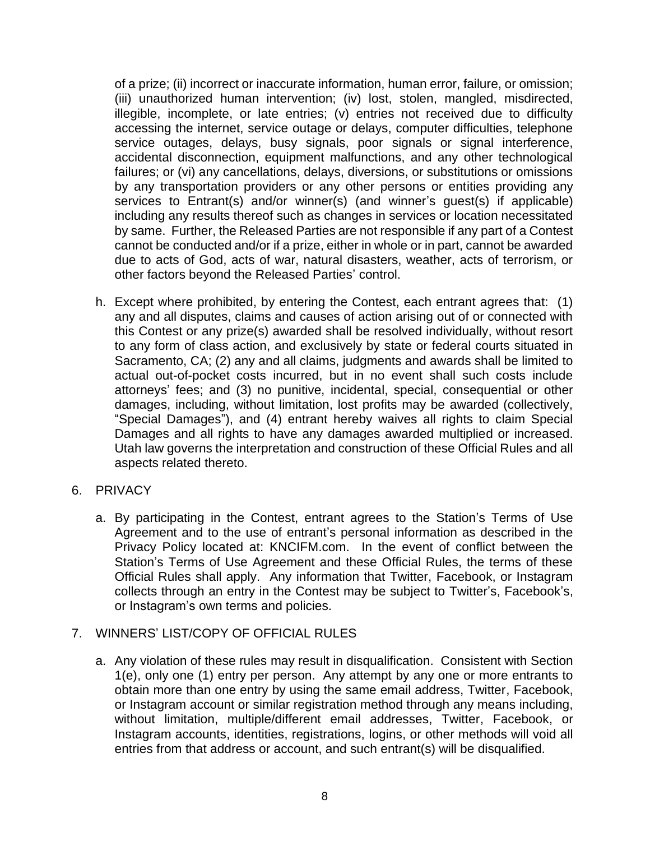of a prize; (ii) incorrect or inaccurate information, human error, failure, or omission; (iii) unauthorized human intervention; (iv) lost, stolen, mangled, misdirected, illegible, incomplete, or late entries; (v) entries not received due to difficulty accessing the internet, service outage or delays, computer difficulties, telephone service outages, delays, busy signals, poor signals or signal interference, accidental disconnection, equipment malfunctions, and any other technological failures; or (vi) any cancellations, delays, diversions, or substitutions or omissions by any transportation providers or any other persons or entities providing any services to Entrant(s) and/or winner(s) (and winner's guest(s) if applicable) including any results thereof such as changes in services or location necessitated by same. Further, the Released Parties are not responsible if any part of a Contest cannot be conducted and/or if a prize, either in whole or in part, cannot be awarded due to acts of God, acts of war, natural disasters, weather, acts of terrorism, or other factors beyond the Released Parties' control.

- h. Except where prohibited, by entering the Contest, each entrant agrees that: (1) any and all disputes, claims and causes of action arising out of or connected with this Contest or any prize(s) awarded shall be resolved individually, without resort to any form of class action, and exclusively by state or federal courts situated in Sacramento, CA; (2) any and all claims, judgments and awards shall be limited to actual out-of-pocket costs incurred, but in no event shall such costs include attorneys' fees; and (3) no punitive, incidental, special, consequential or other damages, including, without limitation, lost profits may be awarded (collectively, "Special Damages"), and (4) entrant hereby waives all rights to claim Special Damages and all rights to have any damages awarded multiplied or increased. Utah law governs the interpretation and construction of these Official Rules and all aspects related thereto.
- 6. PRIVACY
	- a. By participating in the Contest, entrant agrees to the Station's Terms of Use Agreement and to the use of entrant's personal information as described in the Privacy Policy located at: KNCIFM.com. In the event of conflict between the Station's Terms of Use Agreement and these Official Rules, the terms of these Official Rules shall apply. Any information that Twitter, Facebook, or Instagram collects through an entry in the Contest may be subject to Twitter's, Facebook's, or Instagram's own terms and policies.

### 7. WINNERS' LIST/COPY OF OFFICIAL RULES

a. Any violation of these rules may result in disqualification. Consistent with Section 1(e), only one (1) entry per person. Any attempt by any one or more entrants to obtain more than one entry by using the same email address, Twitter, Facebook, or Instagram account or similar registration method through any means including, without limitation, multiple/different email addresses, Twitter, Facebook, or Instagram accounts, identities, registrations, logins, or other methods will void all entries from that address or account, and such entrant(s) will be disqualified.